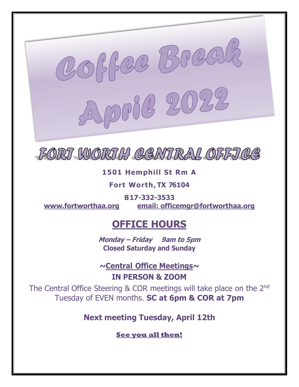



## **1501 Hemphill St Rm A**

### **Fort Worth, TX 76104**

**817-332-3533 [www.fortworthaa.org](http://www.fortworthaa.org/) email: [officemgr@fortworthaa.org](mailto:officemgr@fortworthaa.org)**

# **OFFICE HOURS**

**Monday – Friday 9am to 5pm Closed Saturday and Sunday**

**~Central Office Meetings~ IN PERSON & ZOOM**

The Central Office Steering & COR meetings will take place on the 2<sup>nd</sup> Tuesday of EVEN months. **SC at 6pm & COR at 7pm**

**Next meeting Tuesday, April 12th**

**See you all then!**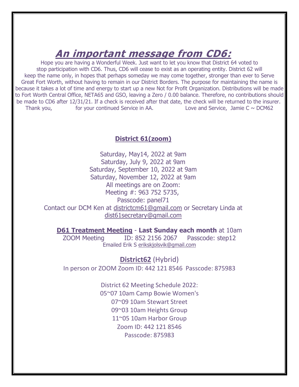# **An important message from CD6:**

Hope you are having a Wonderful Week. Just want to let you know that District 64 voted to stop participation with CD6. Thus, CD6 will cease to exist as an operating entity. District 62 will keep the name only, in hopes that perhaps someday we may come together, stronger than ever to Serve Great Fort Worth, without having to remain in our District Borders. The purpose for maintaining the name is because it takes a lot of time and energy to start up a new Not for Profit Organization. Distributions will be made to Fort Worth Central Office, NETA65 and GSO, leaving a Zero / 0.00 balance. Therefore, no contributions should be made to CD6 after 12/31/21. If a check is received after that date, the check will be returned to the insurer. Thank you, for your continued Service in AA. Love and Service, Jamie C  $\sim$  DCM62

#### **District 61(zoom)**

Saturday, May14, 2022 at 9am Saturday, July 9, 2022 at 9am Saturday, September 10, 2022 at 9am Saturday, November 12, 2022 at 9am All meetings are on Zoom: Meeting #: 963 752 5735, Passcode: panel71 Contact our DCM Ken at districtcm61@gmail.com or Secretary Linda at dist61secretary@gmail.com

**D61 Treatment Meeting** - **Last Sunday each month** at 10am

ZOOM Meeting ID: 852 2156 2067 Passcode: step12 Emailed Erik S [erikskjolsvik@gmail.com](mailto:erikskjolsvik@gmail.com)

**District62** (Hybrid) In person or ZOOM Zoom ID: 442 121 8546 Passcode: 875983

> District 62 Meeting Schedule 2022: 05~07 10am Camp Bowie Women's 07~09 10am Stewart Street 09~03 10am Heights Group 11~05 10am Harbor Group Zoom ID: 442 121 8546 Passcode: 875983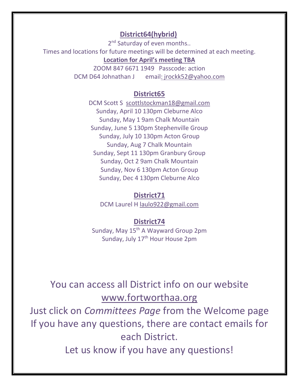### **District64(hybrid)**

2<sup>nd</sup> Saturday of even months..

Times and locations for future meetings will be determined at each meeting.

#### **Location for April's meeting TBA**

ZOOM 847 6671 1949 Passcode: action DCM D64 Johnathan J email: jrockk52@yahoo.com

### **District65**

DCM Scott S [scottlstockman18@gmail.com](mailto:scottlstockman18@gmail.com)  Sunday, April 10 130pm Cleburne Alco Sunday, May 1 9am Chalk Mountain Sunday, June 5 130pm Stephenville Group Sunday, July 10 130pm Acton Group Sunday, Aug 7 Chalk Mountain Sunday, Sept 11 130pm Granbury Group Sunday, Oct 2 9am Chalk Mountain Sunday, Nov 6 130pm Acton Group Sunday, Dec 4 130pm Cleburne Alco

#### **District71**

DCM Laurel H [laulo922@gmail.com](mailto:laulo922@gmail.com)

### **District74**

Sunday, May 15th A Wayward Group 2pm Sunday, July 17<sup>th</sup> Hour House 2pm

# You can access all District info on our website [www.fortworthaa.org](http://www.fortworthaa.org/)

Just click on *Committees Page* from the Welcome page If you have any questions, there are contact emails for each District.

Let us know if you have any questions!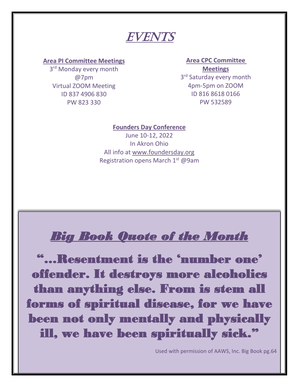# EVENTS

**Area PI Committee Meetings**

3<sup>rd</sup> Monday every month @7pm Virtual ZOOM Meeting ID 837 4906 830 PW 823 330

### **Area CPC Committee Meetings** 3<sup>rd</sup> Saturday every month

4pm-5pm on ZOOM ID 816 8618 0166 PW 532589

#### **Founders Day Conference**

June 10-12, 2022 In Akron Ohio All info at [www.foundersday.org](http://www.foundersday.org/) Registration opens March 1<sup>st</sup> @9am

# *Big Book Quote of the Month*

"…Resentment is the 'number one' offender. It destroys more alcoholics than anything else. From is stem all forms of spiritual disease, for we have been not only mentally and physically ill, we have been spiritually sick."

Used with permission of AAWS, Inc. Big Book pg.64